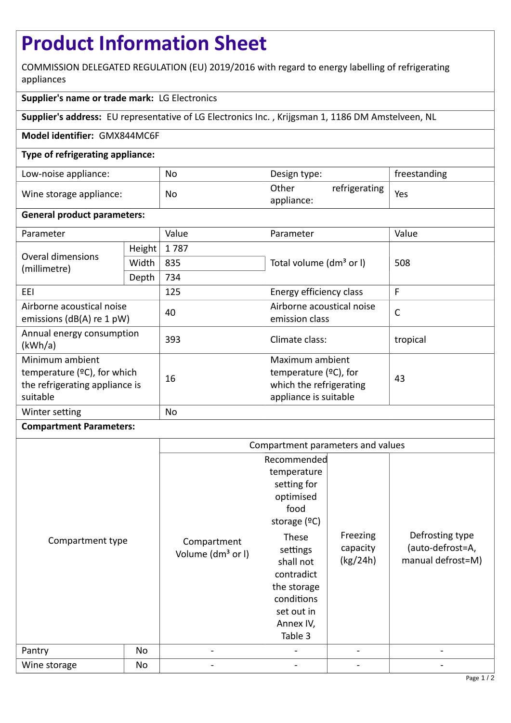# **Product Information Sheet**

COMMISSION DELEGATED REGULATION (EU) 2019/2016 with regard to energy labelling of refrigerating appliances

### **Supplier's name or trade mark:** LG Electronics

**Supplier's address:** EU representative of LG Electronics Inc. , Krijgsman 1, 1186 DM Amstelveen, NL

#### **Model identifier:** GMX844MC6F

#### **Type of refrigerating appliance:**

| Low-noise appliance:    | No | Design type:        |               | freestanding |
|-------------------------|----|---------------------|---------------|--------------|
| Wine storage appliance: | No | Other<br>appliance: | refrigerating | Yes          |

#### **General product parameters:**

| Parameter                                                                                       |                                | Value     | Parameter                                                                                       | Value    |
|-------------------------------------------------------------------------------------------------|--------------------------------|-----------|-------------------------------------------------------------------------------------------------|----------|
| Overal dimensions<br>(millimetre)                                                               | Height                         | 1787      |                                                                                                 | 508      |
|                                                                                                 | Width                          | 835       | Total volume (dm <sup>3</sup> or I)                                                             |          |
|                                                                                                 | Depth                          | 734       |                                                                                                 |          |
| EEI                                                                                             | 125<br>Energy efficiency class |           | F                                                                                               |          |
| Airborne acoustical noise<br>emissions ( $dB(A)$ re 1 pW)                                       |                                | 40        | Airborne acoustical noise<br>emission class                                                     | C        |
| Annual energy consumption<br>(kWh/a)                                                            |                                | 393       | Climate class:                                                                                  | tropical |
| Minimum ambient<br>temperature $(2C)$ , for which<br>the refrigerating appliance is<br>suitable |                                | 16        | Maximum ambient<br>temperature $(2C)$ , for<br>which the refrigerating<br>appliance is suitable | 43       |
| Winter setting                                                                                  |                                | <b>No</b> |                                                                                                 |          |

## **Compartment Parameters:**

|                  |    | Compartment parameters and values            |                                                                                                                 |                                  |                                                          |
|------------------|----|----------------------------------------------|-----------------------------------------------------------------------------------------------------------------|----------------------------------|----------------------------------------------------------|
| Compartment type |    | Recommended                                  |                                                                                                                 |                                  |                                                          |
|                  |    | Compartment<br>Volume (dm <sup>3</sup> or I) | temperature<br>setting for<br>optimised<br>food<br>storage $(°C)$                                               |                                  | Defrosting type<br>(auto-defrost=A,<br>manual defrost=M) |
|                  |    |                                              | These<br>settings<br>shall not<br>contradict<br>the storage<br>conditions<br>set out in<br>Annex IV,<br>Table 3 | Freezing<br>capacity<br>(kg/24h) |                                                          |
| Pantry           | No | $\qquad \qquad \blacksquare$                 |                                                                                                                 |                                  |                                                          |
| Wine storage     | No |                                              |                                                                                                                 |                                  |                                                          |